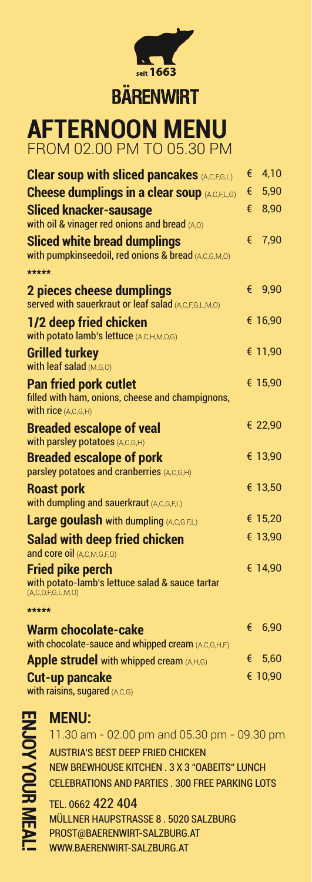

## **BÄRENWIRT**

**AFTERNOON MENU**  FROM 02.00 PM TO 05.30 PM

| <b>Clear soup with sliced pancakes (A,C,F,G,L)</b>                                                             | € | 4,10    |
|----------------------------------------------------------------------------------------------------------------|---|---------|
| <b>Cheese dumplings in a clear soup (A,C,F,L,G)</b>                                                            | € | 5,90    |
| <b>Sliced knacker-sausage</b>                                                                                  | € | 8,90    |
| with oil & vinager red onions and bread (A,O)                                                                  |   |         |
| Sliced white bread dumplings<br>with pumpkinseedoil, red onions & bread (A,C,G,M,O)                            | € | 7,90    |
| *****                                                                                                          |   |         |
| 2 pieces cheese dumplings<br>served with sauerkraut or leaf salad (A,C,F,G,L,M,O)                              | € | 9,90    |
| 1/2 deep fried chicken<br>with potato lamb's lettuce (A,C,H,M,O,G)                                             |   | € 16,90 |
| <b>Grilled turkey</b><br>with leaf salad (M,G,O)                                                               |   | € 11,90 |
| <b>Pan fried pork cutlet</b><br>filled with ham, onions, cheese and champignons,<br><b>with rice</b> (A,C,G,H) |   | € 15,90 |
| <b>Breaded escalope of veal</b>                                                                                |   | € 22,90 |
| with parsley potatoes (A,C,G,H)                                                                                |   |         |
| <b>Breaded escalope of pork</b><br>parsley potatoes and cranberries (A,C,G,H)                                  |   | € 13,90 |
| <b>Roast pork</b><br>with dumpling and sauerkraut (A,C,G,F,L)                                                  |   | € 13,50 |
| <b>Large goulash with dumpling (A,C,G,F,L)</b>                                                                 |   | € 15,20 |
| <b>Salad with deep fried chicken</b><br>and core oil (A,C,M,G,F,O)                                             |   | € 13,90 |
| <b>Fried pike perch</b><br>with potato-lamb's lettuce salad & sauce tartar                                     |   | € 14,90 |
| (A, C, D, F, G, L, M, O)                                                                                       |   |         |
| *****                                                                                                          |   |         |
| <b>Warm chocolate-cake</b><br>with chocolate-sauce and whipped cream (A,C,G,H,F)                               | € | 6,90    |
| <b>Apple strudel</b> with whipped cream $(A,H,G)$                                                              | € | 5,60    |
| <b>Cut-up pancake</b>                                                                                          |   | € 10,90 |

**Cut-up pancake**  with raisins, sugared (A,C,G)

ENJOY YOUR M **ENJOY YOUR MEAL!**

## **MENU:**

AUSTRIA'S BEST DEEP FRIED CHICKEN NEW BREWHOUSE KITCHEN . 3 X 3 "OABEITS" LUNCH CELEBRATIONS AND PARTIES . 300 FREE PARKING LOTS 11.30 am - 02.00 pm and 05.30 pm - 09.30 pm

TEL. 0662 422 404 MÜLLNER HAUPSTRASSE 8 . 5020 SALZBURG PROST@BAERENWIRT-SALZBURG.AT WWW.BAERENWIRT-SALZBURG.AT